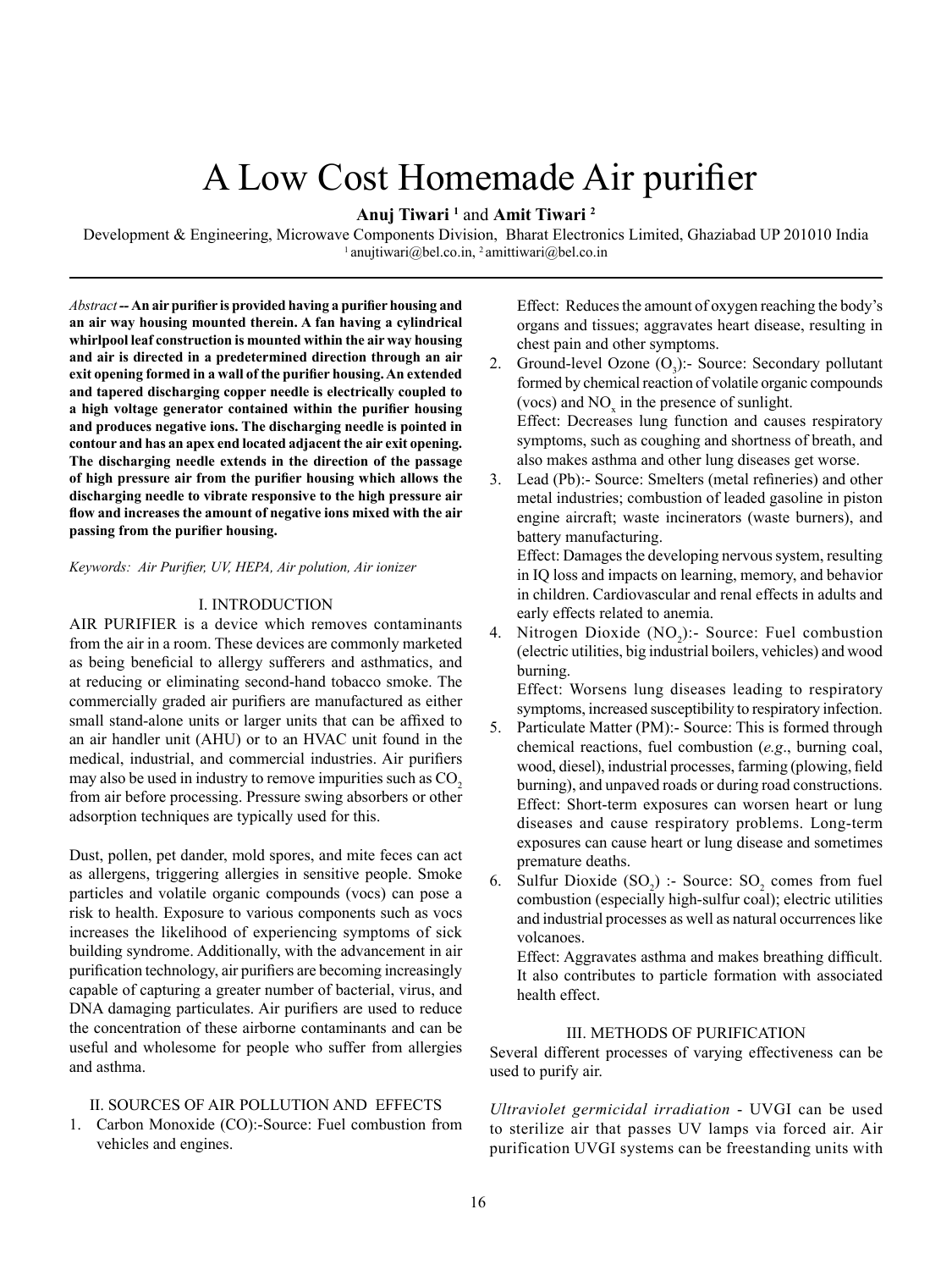# A Low Cost Homemade Air purifier

# **Anuj Tiwari <sup>1</sup>** and **Amit Tiwari <sup>2</sup>**

Development & Engineering, Microwave Components Division, Bharat Electronics Limited, Ghaziabad UP 201010 India  $1$  anujtiwari@bel.co.in,  $2$  amittiwari@bel.co.in

*Abstract --* **An air purifier is provided having a purifier housing and an air way housing mounted therein. A fan having a cylindrical whirlpool leaf construction is mounted within the air way housing and air is directed in a predetermined direction through an air exit opening formed in a wall of the purifier housing. An extended and tapered discharging copper needle is electrically coupled to a high voltage generator contained within the purifier housing and produces negative ions. The discharging needle is pointed in contour and has an apex end located adjacent the air exit opening. The discharging needle extends in the direction of the passage of high pressure air from the purifier housing which allows the discharging needle to vibrate responsive to the high pressure air flow and increases the amount of negative ions mixed with the air passing from the purifier housing.**

*Keywords: Air Purifier, UV, HEPA, Air polution, Air ionizer*

## I. INTRODUCTION

AIR PURIFIER is a device which removes contaminants from the air in a room. These devices are commonly marketed as being beneficial to allergy sufferers and asthmatics, and at reducing or eliminating second-hand tobacco smoke. The commercially graded air purifiers are manufactured as either small stand-alone units or larger units that can be affixed to an air handler unit (AHU) or to an HVAC unit found in the medical, industrial, and commercial industries. Air purifiers may also be used in industry to remove impurities such as CO<sub>2</sub> from air before processing. Pressure swing absorbers or other adsorption techniques are typically used for this.

Dust, pollen, pet dander, mold spores, and mite feces can act as allergens, triggering allergies in sensitive people. Smoke particles and volatile organic compounds (vocs) can pose a risk to health. Exposure to various components such as vocs increases the likelihood of experiencing symptoms of sick building syndrome. Additionally, with the advancement in air purification technology, air purifiers are becoming increasingly capable of capturing a greater number of bacterial, virus, and DNA damaging particulates. Air purifiers are used to reduce the concentration of these airborne contaminants and can be useful and wholesome for people who suffer from allergies and asthma.

## II. SOURCES OF AIR POLLUTION AND EFFECTS

1. Carbon Monoxide (CO):-Source: Fuel combustion from vehicles and engines.

Effect: Reduces the amount of oxygen reaching the body's organs and tissues; aggravates heart disease, resulting in chest pain and other symptoms.

- 2. Ground-level Ozone  $(O_3)$ :- Source: Secondary pollutant formed by chemical reaction of volatile organic compounds (vocs) and  $NO<sub>x</sub>$  in the presence of sunlight. Effect: Decreases lung function and causes respiratory symptoms, such as coughing and shortness of breath, and also makes asthma and other lung diseases get worse.
- 3. Lead (Pb):- Source: Smelters (metal refineries) and other metal industries; combustion of leaded gasoline in piston engine aircraft; waste incinerators (waste burners), and battery manufacturing.

Effect: Damages the developing nervous system, resulting in IQ loss and impacts on learning, memory, and behavior in children. Cardiovascular and renal effects in adults and early effects related to anemia.

4. Nitrogen Dioxide  $(NO<sub>2</sub>)$ :- Source: Fuel combustion (electric utilities, big industrial boilers, vehicles) and wood burning.

Effect: Worsens lung diseases leading to respiratory symptoms, increased susceptibility to respiratory infection.

- 5. Particulate Matter (PM):- Source: This is formed through chemical reactions, fuel combustion (*e.g*., burning coal, wood, diesel), industrial processes, farming (plowing, field burning), and unpaved roads or during road constructions. Effect: Short-term exposures can worsen heart or lung diseases and cause respiratory problems. Long-term exposures can cause heart or lung disease and sometimes premature deaths.
- 6. Sulfur Dioxide  $(SO_2)$ : Source:  $SO_2$  comes from fuel combustion (especially high-sulfur coal); electric utilities and industrial processes as well as natural occurrences like volcanoes.

Effect: Aggravates asthma and makes breathing difficult. It also contributes to particle formation with associated health effect.

#### III. METHODS OF PURIFICATION

Several different processes of varying effectiveness can be used to purify air.

*Ultraviolet germicidal irradiation* - UVGI can be used to sterilize air that passes UV lamps via forced air. Air purification UVGI systems can be freestanding units with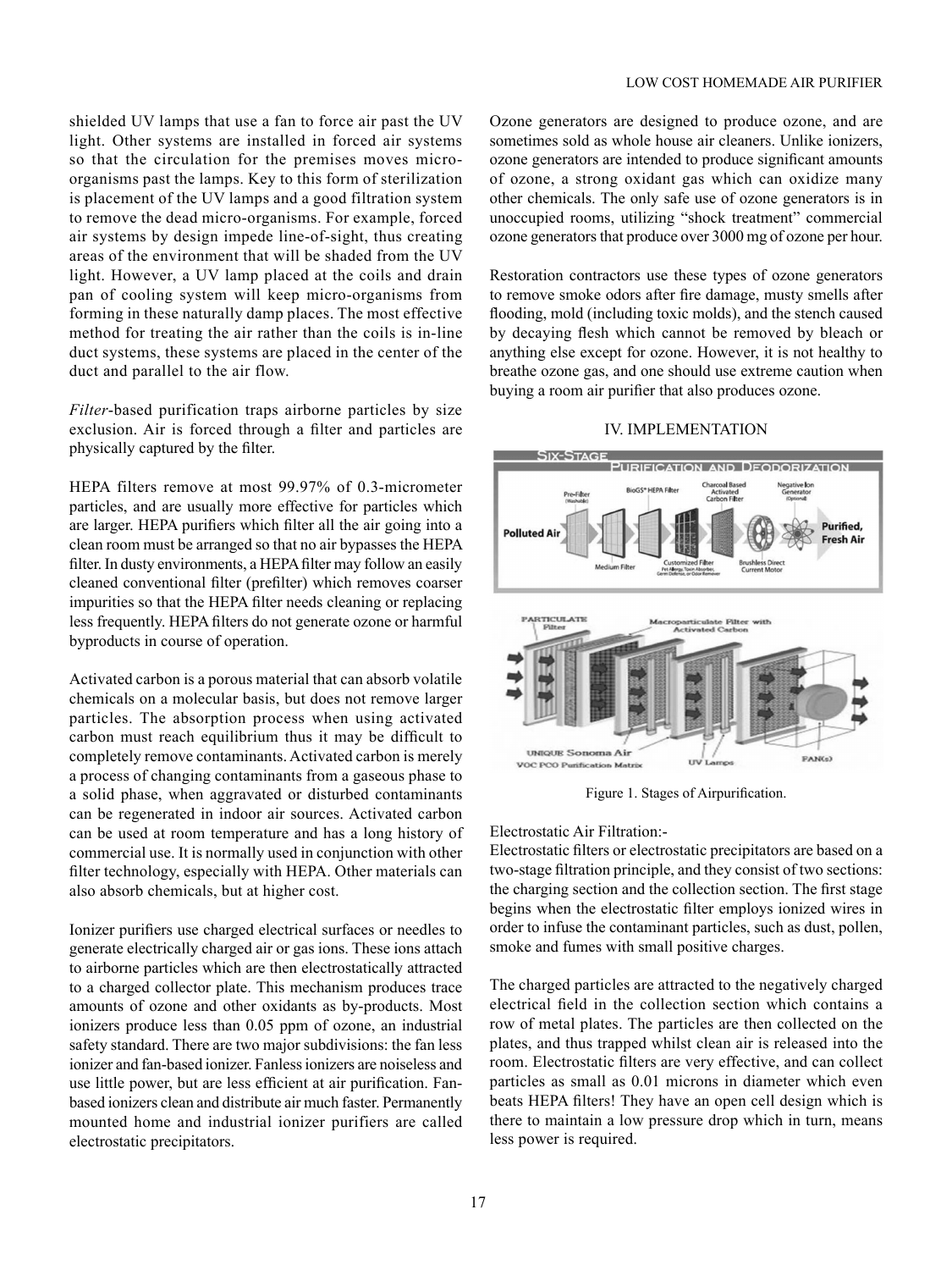shielded UV lamps that use a fan to force air past the UV light. Other systems are installed in forced air systems so that the circulation for the premises moves microorganisms past the lamps. Key to this form of sterilization is placement of the UV lamps and a good filtration system to remove the dead micro-organisms. For example, forced air systems by design impede line-of-sight, thus creating areas of the environment that will be shaded from the UV light. However, a UV lamp placed at the coils and drain pan of cooling system will keep micro-organisms from forming in these naturally damp places. The most effective method for treating the air rather than the coils is in-line duct systems, these systems are placed in the center of the duct and parallel to the air flow.

*Filter*-based purification traps airborne particles by size exclusion. Air is forced through a filter and particles are physically captured by the filter.

HEPA filters remove at most 99.97% of 0.3-micrometer particles, and are usually more effective for particles which are larger. HEPA purifiers which filter all the air going into a clean room must be arranged so that no air bypasses the HEPA filter. In dusty environments, a HEPA filter may follow an easily cleaned conventional filter (prefilter) which removes coarser impurities so that the HEPA filter needs cleaning or replacing less frequently. HEPA filters do not generate ozone or harmful byproducts in course of operation.

Activated carbon is a porous material that can absorb volatile chemicals on a molecular basis, but does not remove larger particles. The absorption process when using activated carbon must reach equilibrium thus it may be difficult to completely remove contaminants. Activated carbon is merely a process of changing contaminants from a gaseous phase to a solid phase, when aggravated or disturbed contaminants can be regenerated in indoor air sources. Activated carbon can be used at room temperature and has a long history of commercial use. It is normally used in conjunction with other filter technology, especially with HEPA. Other materials can also absorb chemicals, but at higher cost.

Ionizer purifiers use charged electrical surfaces or needles to generate electrically charged air or gas ions. These ions attach to airborne particles which are then electrostatically attracted to a charged collector plate. This mechanism produces trace amounts of ozone and other oxidants as by-products. Most ionizers produce less than 0.05 ppm of ozone, an industrial safety standard. There are two major subdivisions: the fan less ionizer and fan-based ionizer. Fanless ionizers are noiseless and use little power, but are less efficient at air purification. Fanbased ionizers clean and distribute air much faster. Permanently mounted home and industrial ionizer purifiers are called electrostatic precipitators.

Ozone generators are designed to produce ozone, and are sometimes sold as whole house air cleaners. Unlike ionizers, ozone generators are intended to produce significant amounts of ozone, a strong oxidant gas which can oxidize many other chemicals. The only safe use of ozone generators is in unoccupied rooms, utilizing "shock treatment" commercial ozone generators that produce over 3000 mg of ozone per hour.

Restoration contractors use these types of ozone generators to remove smoke odors after fire damage, musty smells after flooding, mold (including toxic molds), and the stench caused by decaying flesh which cannot be removed by bleach or anything else except for ozone. However, it is not healthy to breathe ozone gas, and one should use extreme caution when buying a room air purifier that also produces ozone.

#### IV. IMPLEMENTATION



Figure 1. Stages of Airpurification.

#### Electrostatic Air Filtration:-

Electrostatic filters or electrostatic precipitators are based on a two-stage filtration principle, and they consist of two sections: the charging section and the collection section. The first stage begins when the electrostatic filter employs ionized wires in order to infuse the contaminant particles, such as dust, pollen, smoke and fumes with small positive charges.

The charged particles are attracted to the negatively charged electrical field in the collection section which contains a row of metal plates. The particles are then collected on the plates, and thus trapped whilst clean air is released into the room. Electrostatic filters are very effective, and can collect particles as small as 0.01 microns in diameter which even beats HEPA filters! They have an open cell design which is there to maintain a low pressure drop which in turn, means less power is required.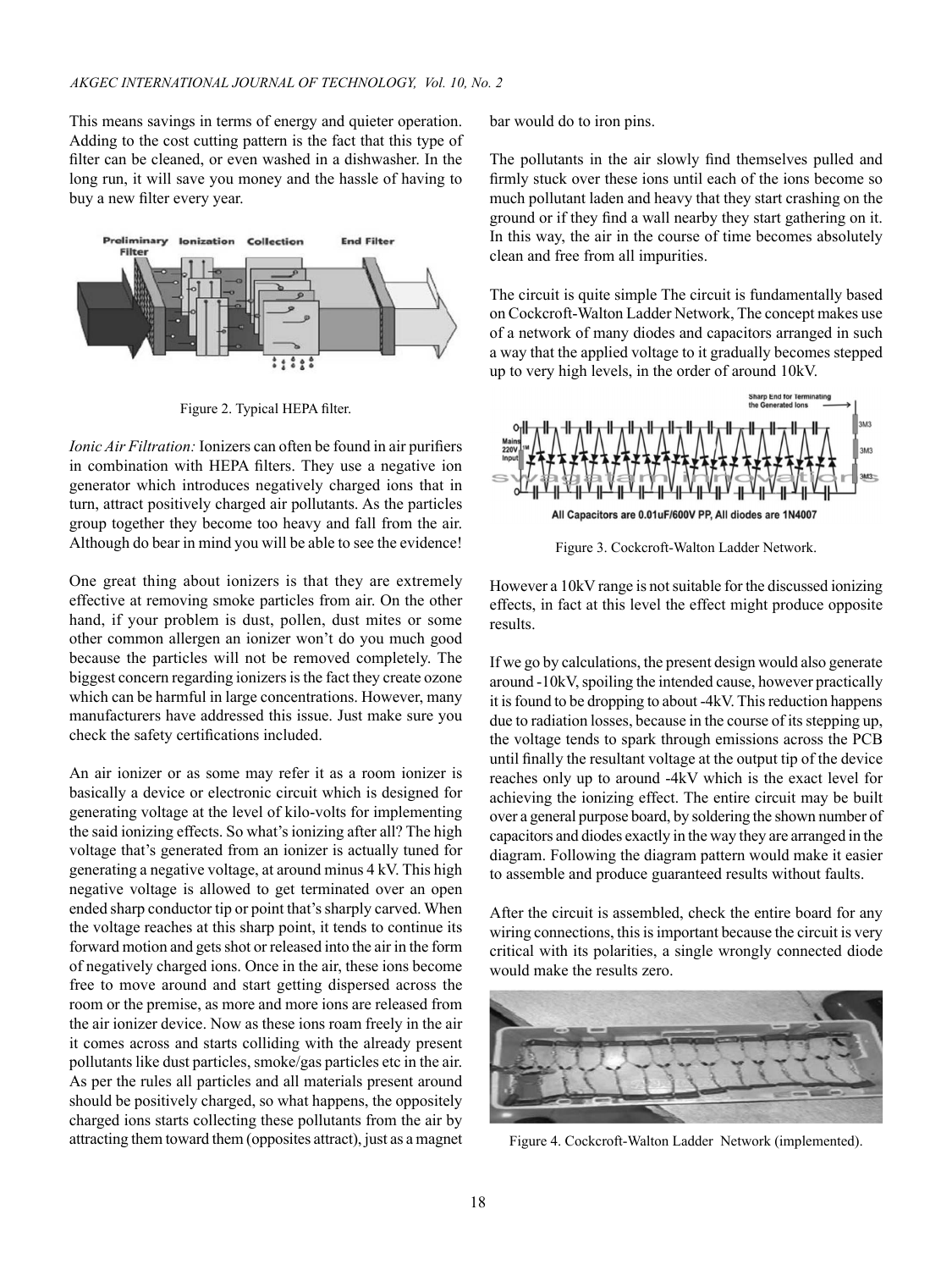This means savings in terms of energy and quieter operation. Adding to the cost cutting pattern is the fact that this type of filter can be cleaned, or even washed in a dishwasher. In the long run, it will save you money and the hassle of having to buy a new filter every year.



Figure 2. Typical HEPA filter.

*Ionic Air Filtration:* Ionizers can often be found in air purifiers in combination with HEPA filters. They use a negative ion generator which introduces negatively charged ions that in turn, attract positively charged air pollutants. As the particles group together they become too heavy and fall from the air. Although do bear in mind you will be able to see the evidence!

One great thing about ionizers is that they are extremely effective at removing smoke particles from air. On the other hand, if your problem is dust, pollen, dust mites or some other common allergen an ionizer won't do you much good because the particles will not be removed completely. The biggest concern regarding ionizers is the fact they create ozone which can be harmful in large concentrations. However, many manufacturers have addressed this issue. Just make sure you check the safety certifications included.

An air ionizer or as some may refer it as a room ionizer is basically a device or electronic circuit which is designed for generating voltage at the level of kilo-volts for implementing the said ionizing effects. So what's ionizing after all? The high voltage that's generated from an ionizer is actually tuned for generating a negative voltage, at around minus 4 kV. This high negative voltage is allowed to get terminated over an open ended sharp conductor tip or point that's sharply carved. When the voltage reaches at this sharp point, it tends to continue its forward motion and gets shot or released into the air in the form of negatively charged ions. Once in the air, these ions become free to move around and start getting dispersed across the room or the premise, as more and more ions are released from the air ionizer device. Now as these ions roam freely in the air it comes across and starts colliding with the already present pollutants like dust particles, smoke/gas particles etc in the air. As per the rules all particles and all materials present around should be positively charged, so what happens, the oppositely charged ions starts collecting these pollutants from the air by attracting them toward them (opposites attract), just as a magnet

bar would do to iron pins.

The pollutants in the air slowly find themselves pulled and firmly stuck over these ions until each of the ions become so much pollutant laden and heavy that they start crashing on the ground or if they find a wall nearby they start gathering on it. In this way, the air in the course of time becomes absolutely clean and free from all impurities.

The circuit is quite simple The circuit is fundamentally based on Cockcroft-Walton Ladder Network, The concept makes use of a network of many diodes and capacitors arranged in such a way that the applied voltage to it gradually becomes stepped up to very high levels, in the order of around 10kV.



Figure 3. Cockcroft-Walton Ladder Network.

However a 10kV range is not suitable for the discussed ionizing effects, in fact at this level the effect might produce opposite results.

If we go by calculations, the present design would also generate around -10kV, spoiling the intended cause, however practically it is found to be dropping to about -4kV. This reduction happens due to radiation losses, because in the course of its stepping up, the voltage tends to spark through emissions across the PCB until finally the resultant voltage at the output tip of the device reaches only up to around -4kV which is the exact level for achieving the ionizing effect. The entire circuit may be built over a general purpose board, by soldering the shown number of capacitors and diodes exactly in the way they are arranged in the diagram. Following the diagram pattern would make it easier to assemble and produce guaranteed results without faults.

After the circuit is assembled, check the entire board for any wiring connections, this is important because the circuit is very critical with its polarities, a single wrongly connected diode would make the results zero.



Figure 4. Cockcroft-Walton Ladder Network (implemented).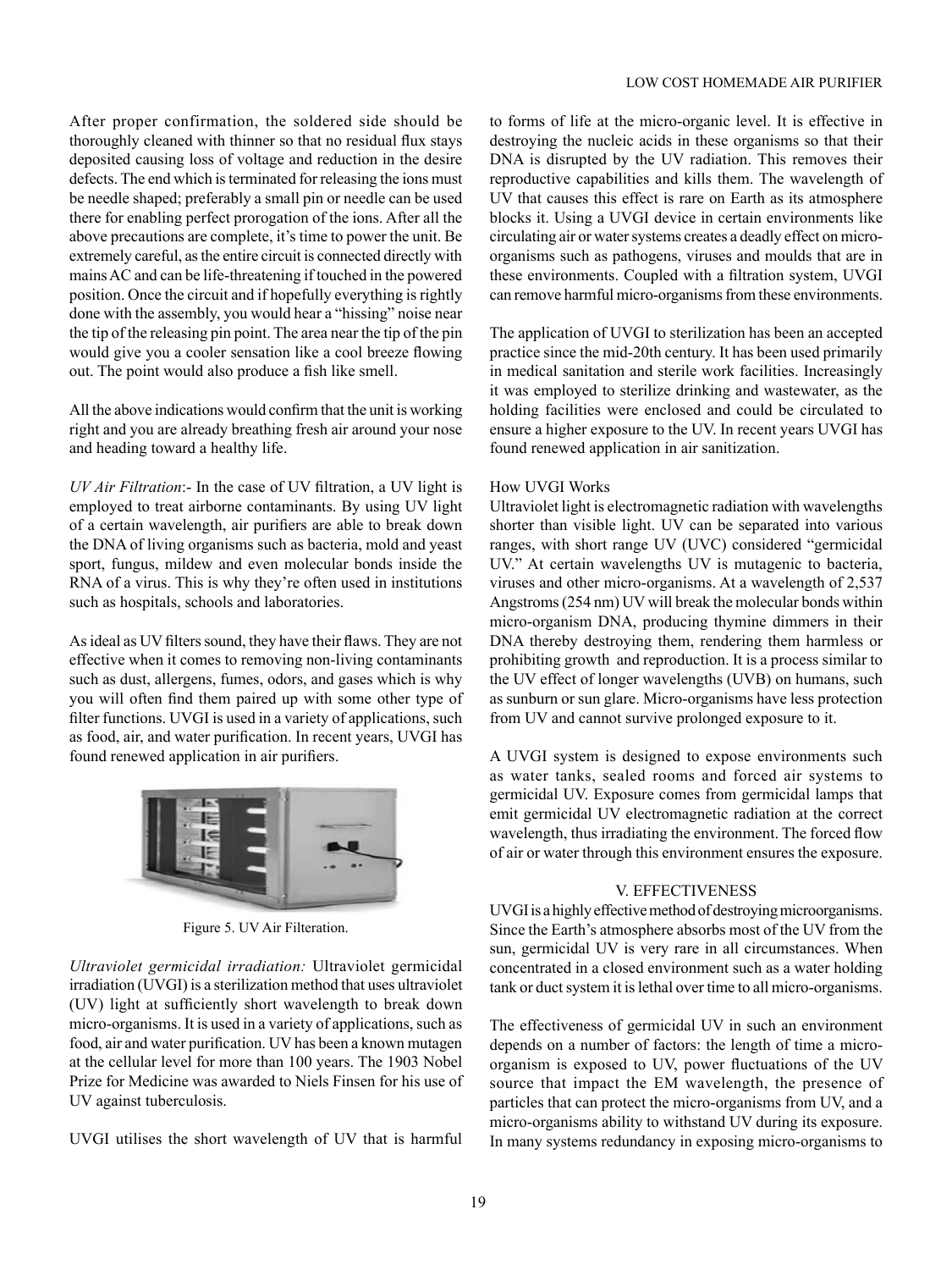After proper confirmation, the soldered side should be thoroughly cleaned with thinner so that no residual flux stays deposited causing loss of voltage and reduction in the desire defects. The end which is terminated for releasing the ions must be needle shaped; preferably a small pin or needle can be used there for enabling perfect prorogation of the ions. After all the above precautions are complete, it's time to power the unit. Be extremely careful, as the entire circuit is connected directly with mains AC and can be life-threatening if touched in the powered position. Once the circuit and if hopefully everything is rightly done with the assembly, you would hear a "hissing" noise near the tip of the releasing pin point. The area near the tip of the pin would give you a cooler sensation like a cool breeze flowing out. The point would also produce a fish like smell.

All the above indications would confirm that the unit is working right and you are already breathing fresh air around your nose and heading toward a healthy life.

*UV Air Filtration*:- In the case of UV filtration, a UV light is employed to treat airborne contaminants. By using UV light of a certain wavelength, air purifiers are able to break down the DNA of living organisms such as bacteria, mold and yeast sport, fungus, mildew and even molecular bonds inside the RNA of a virus. This is why they're often used in institutions such as hospitals, schools and laboratories.

As ideal as UV filters sound, they have their flaws. They are not effective when it comes to removing non-living contaminants such as dust, allergens, fumes, odors, and gases which is why you will often find them paired up with some other type of filter functions. UVGI is used in a variety of applications, such as food, air, and water purification. In recent years, UVGI has found renewed application in air purifiers.



Figure 5. UV Air Filteration.

*Ultraviolet germicidal irradiation:* Ultraviolet germicidal irradiation (UVGI) is a sterilization method that uses ultraviolet (UV) light at sufficiently short wavelength to break down micro-organisms. It is used in a variety of applications, such as food, air and water purification. UV has been a known mutagen at the cellular level for more than 100 years. The 1903 Nobel Prize for Medicine was awarded to Niels Finsen for his use of UV against tuberculosis.

UVGI utilises the short wavelength of UV that is harmful

to forms of life at the micro-organic level. It is effective in destroying the nucleic acids in these organisms so that their DNA is disrupted by the UV radiation. This removes their reproductive capabilities and kills them. The wavelength of UV that causes this effect is rare on Earth as its atmosphere blocks it. Using a UVGI device in certain environments like circulating air or water systems creates a deadly effect on microorganisms such as pathogens, viruses and moulds that are in these environments. Coupled with a filtration system, UVGI can remove harmful micro-organisms from these environments.

The application of UVGI to sterilization has been an accepted practice since the mid-20th century. It has been used primarily in medical sanitation and sterile work facilities. Increasingly it was employed to sterilize drinking and wastewater, as the holding facilities were enclosed and could be circulated to ensure a higher exposure to the UV. In recent years UVGI has found renewed application in air sanitization.

## How UVGI Works

Ultraviolet light is electromagnetic radiation with wavelengths shorter than visible light. UV can be separated into various ranges, with short range UV (UVC) considered "germicidal UV." At certain wavelengths UV is mutagenic to bacteria, viruses and other micro-organisms. At a wavelength of 2,537 Angstroms (254 nm) UV will break the molecular bonds within micro-organism DNA, producing thymine dimmers in their DNA thereby destroying them, rendering them harmless or prohibiting growth and reproduction. It is a process similar to the UV effect of longer wavelengths (UVB) on humans, such as sunburn or sun glare. Micro-organisms have less protection from UV and cannot survive prolonged exposure to it.

A UVGI system is designed to expose environments such as water tanks, sealed rooms and forced air systems to germicidal UV. Exposure comes from germicidal lamps that emit germicidal UV electromagnetic radiation at the correct wavelength, thus irradiating the environment. The forced flow of air or water through this environment ensures the exposure.

## V. EFFECTIVENESS

UVGI is a highly effective method of destroying microorganisms. Since the Earth's atmosphere absorbs most of the UV from the sun, germicidal UV is very rare in all circumstances. When concentrated in a closed environment such as a water holding tank or duct system it is lethal over time to all micro-organisms.

The effectiveness of germicidal UV in such an environment depends on a number of factors: the length of time a microorganism is exposed to UV, power fluctuations of the UV source that impact the EM wavelength, the presence of particles that can protect the micro-organisms from UV, and a micro-organisms ability to withstand UV during its exposure. In many systems redundancy in exposing micro-organisms to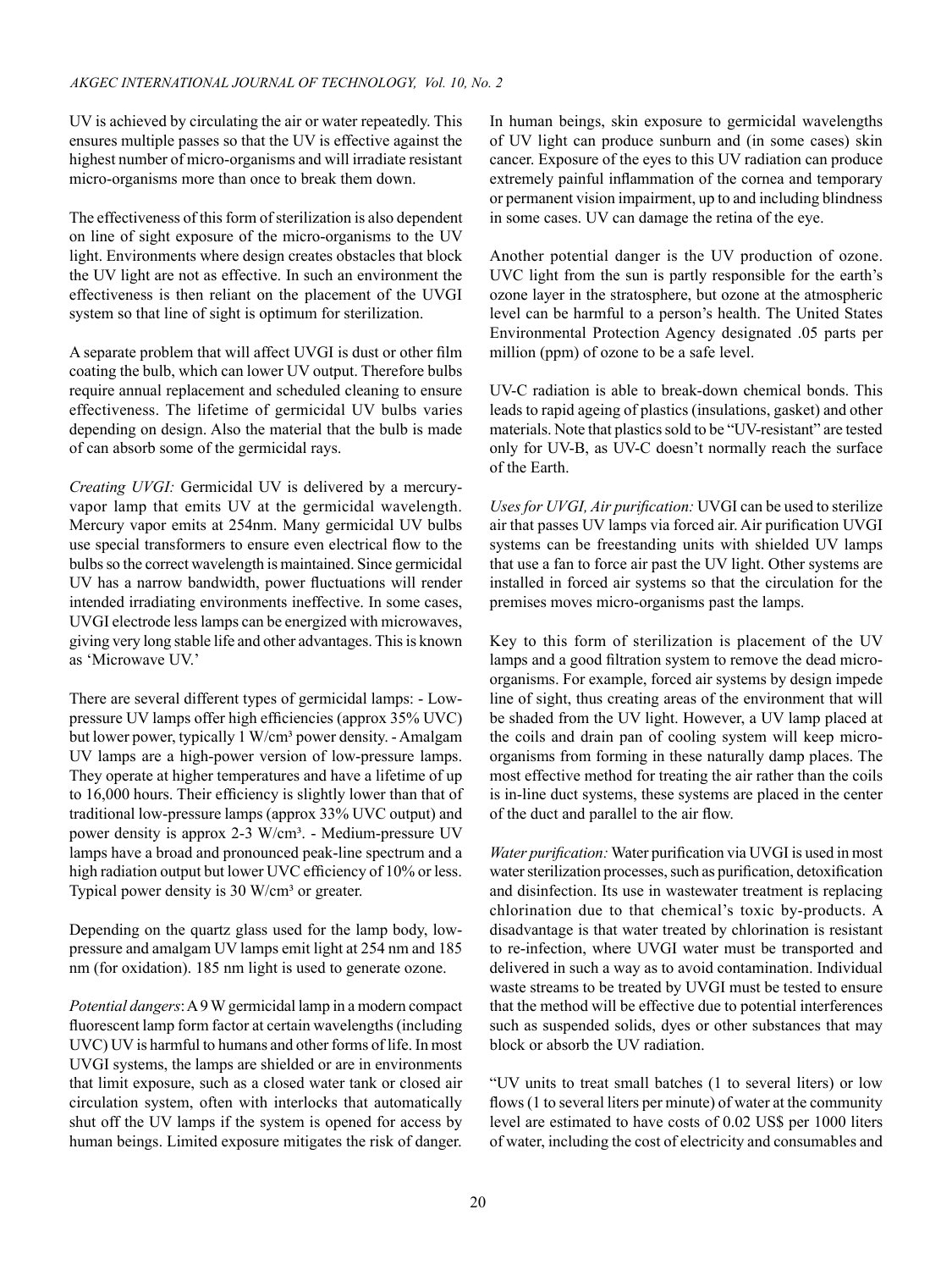UV is achieved by circulating the air or water repeatedly. This ensures multiple passes so that the UV is effective against the highest number of micro-organisms and will irradiate resistant micro-organisms more than once to break them down.

The effectiveness of this form of sterilization is also dependent on line of sight exposure of the micro-organisms to the UV light. Environments where design creates obstacles that block the UV light are not as effective. In such an environment the effectiveness is then reliant on the placement of the UVGI system so that line of sight is optimum for sterilization.

A separate problem that will affect UVGI is dust or other film coating the bulb, which can lower UV output. Therefore bulbs require annual replacement and scheduled cleaning to ensure effectiveness. The lifetime of germicidal UV bulbs varies depending on design. Also the material that the bulb is made of can absorb some of the germicidal rays.

*Creating UVGI:* Germicidal UV is delivered by a mercuryvapor lamp that emits UV at the germicidal wavelength. Mercury vapor emits at 254nm. Many germicidal UV bulbs use special transformers to ensure even electrical flow to the bulbs so the correct wavelength is maintained. Since germicidal UV has a narrow bandwidth, power fluctuations will render intended irradiating environments ineffective. In some cases, UVGI electrode less lamps can be energized with microwaves, giving very long stable life and other advantages. This is known as 'Microwave UV.'

There are several different types of germicidal lamps: - Lowpressure UV lamps offer high efficiencies (approx 35% UVC) but lower power, typically 1 W/cm<sup>3</sup> power density. - Amalgam UV lamps are a high-power version of low-pressure lamps. They operate at higher temperatures and have a lifetime of up to 16,000 hours. Their efficiency is slightly lower than that of traditional low-pressure lamps (approx 33% UVC output) and power density is approx 2-3 W/cm<sup>3</sup>. - Medium-pressure UV lamps have a broad and pronounced peak-line spectrum and a high radiation output but lower UVC efficiency of 10% or less. Typical power density is 30 W/cm<sup>3</sup> or greater.

Depending on the quartz glass used for the lamp body, lowpressure and amalgam UV lamps emit light at 254 nm and 185 nm (for oxidation). 185 nm light is used to generate ozone.

*Potential dangers*: A 9 W germicidal lamp in a modern compact fluorescent lamp form factor at certain wavelengths (including UVC) UV is harmful to humans and other forms of life. In most UVGI systems, the lamps are shielded or are in environments that limit exposure, such as a closed water tank or closed air circulation system, often with interlocks that automatically shut off the UV lamps if the system is opened for access by human beings. Limited exposure mitigates the risk of danger. In human beings, skin exposure to germicidal wavelengths of UV light can produce sunburn and (in some cases) skin cancer. Exposure of the eyes to this UV radiation can produce extremely painful inflammation of the cornea and temporary or permanent vision impairment, up to and including blindness in some cases. UV can damage the retina of the eye.

Another potential danger is the UV production of ozone. UVC light from the sun is partly responsible for the earth's ozone layer in the stratosphere, but ozone at the atmospheric level can be harmful to a person's health. The United States Environmental Protection Agency designated .05 parts per million (ppm) of ozone to be a safe level.

UV-C radiation is able to break-down chemical bonds. This leads to rapid ageing of plastics (insulations, gasket) and other materials. Note that plastics sold to be "UV-resistant" are tested only for UV-B, as UV-C doesn't normally reach the surface of the Earth.

*Uses for UVGI, Air purification:* UVGI can be used to sterilize air that passes UV lamps via forced air. Air purification UVGI systems can be freestanding units with shielded UV lamps that use a fan to force air past the UV light. Other systems are installed in forced air systems so that the circulation for the premises moves micro-organisms past the lamps.

Key to this form of sterilization is placement of the UV lamps and a good filtration system to remove the dead microorganisms. For example, forced air systems by design impede line of sight, thus creating areas of the environment that will be shaded from the UV light. However, a UV lamp placed at the coils and drain pan of cooling system will keep microorganisms from forming in these naturally damp places. The most effective method for treating the air rather than the coils is in-line duct systems, these systems are placed in the center of the duct and parallel to the air flow.

*Water purification:* Water purification via UVGI is used in most water sterilization processes, such as purification, detoxification and disinfection. Its use in wastewater treatment is replacing chlorination due to that chemical's toxic by-products. A disadvantage is that water treated by chlorination is resistant to re-infection, where UVGI water must be transported and delivered in such a way as to avoid contamination. Individual waste streams to be treated by UVGI must be tested to ensure that the method will be effective due to potential interferences such as suspended solids, dyes or other substances that may block or absorb the UV radiation.

"UV units to treat small batches (1 to several liters) or low flows (1 to several liters per minute) of water at the community level are estimated to have costs of 0.02 US\$ per 1000 liters of water, including the cost of electricity and consumables and